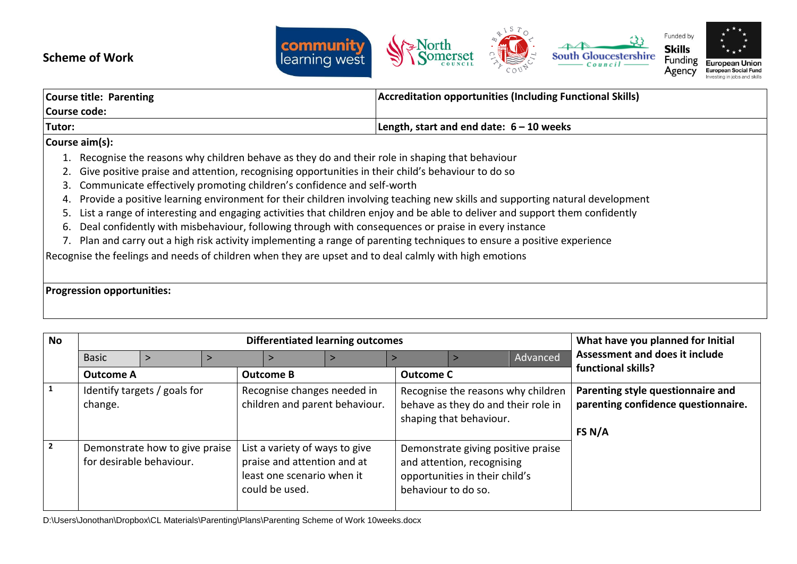## **Scheme of Work**



| Course title: Parenting |                                                                                                   | <b>Accreditation opportunities (Including Functional Skills)</b> |  |  |
|-------------------------|---------------------------------------------------------------------------------------------------|------------------------------------------------------------------|--|--|
| Course code:            |                                                                                                   |                                                                  |  |  |
| Tutor:                  |                                                                                                   | Length, start and end date: $6 - 10$ weeks                       |  |  |
|                         | Course aim(s):                                                                                    |                                                                  |  |  |
|                         | Recognise the reasons why children behave as they do and their role in shaping that behaviour     |                                                                  |  |  |
|                         | Give positive praise and attention, recognising opportunities in their child's behaviour to do so |                                                                  |  |  |
|                         | 3. Communicate effectively promoting children's confidence and self-worth                         |                                                                  |  |  |

4. Provide a positive learning environment for their children involving teaching new skills and supporting natural development

- 5. List a range of interesting and engaging activities that children enjoy and be able to deliver and support them confidently
- 6. Deal confidently with misbehaviour, following through with consequences or praise in every instance
- 7. Plan and carry out a high risk activity implementing a range of parenting techniques to ensure a positive experience

Recognise the feelings and needs of children when they are upset and to deal calmly with high emotions

## **Progression opportunities:**

| <b>No</b>      |                                                                                                          | <b>Differentiated learning outcomes</b> |  |                                                                                                               |  |                                                                                    |                                                                                                    |          | What have you planned for Initial |
|----------------|----------------------------------------------------------------------------------------------------------|-----------------------------------------|--|---------------------------------------------------------------------------------------------------------------|--|------------------------------------------------------------------------------------|----------------------------------------------------------------------------------------------------|----------|-----------------------------------|
|                | <b>Basic</b>                                                                                             |                                         |  |                                                                                                               |  |                                                                                    |                                                                                                    | Advanced | Assessment and does it include    |
|                | <b>Outcome A</b>                                                                                         |                                         |  | <b>Outcome B</b>                                                                                              |  | <b>Outcome C</b>                                                                   |                                                                                                    |          | functional skills?                |
|                | Identify targets / goals for<br>Recognise changes needed in<br>children and parent behaviour.<br>change. |                                         |  | Recognise the reasons why children<br>behave as they do and their role in<br>shaping that behaviour.          |  | Parenting style questionnaire and<br>parenting confidence questionnaire.<br>FS N/A |                                                                                                    |          |                                   |
| $\overline{2}$ | Demonstrate how to give praise<br>for desirable behaviour.                                               |                                         |  | List a variety of ways to give<br>praise and attention and at<br>least one scenario when it<br>could be used. |  | behaviour to do so.                                                                | Demonstrate giving positive praise<br>and attention, recognising<br>opportunities in their child's |          |                                   |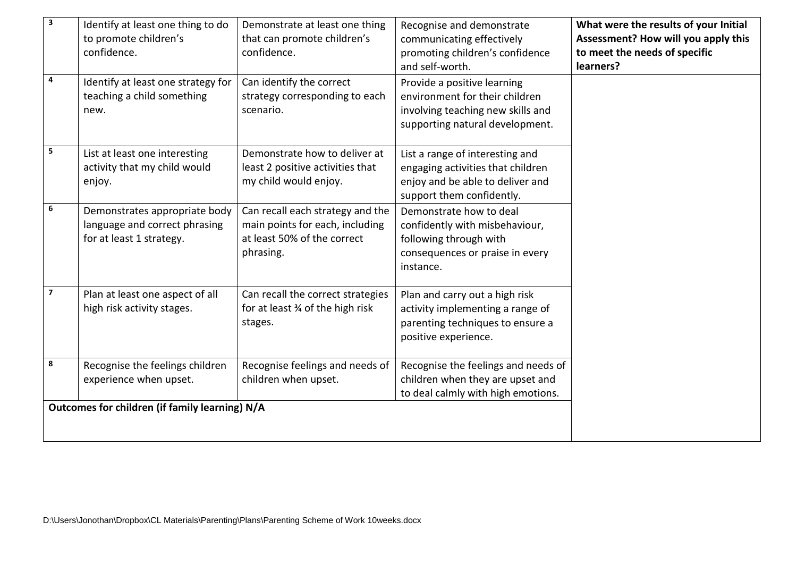| 3                       | Identify at least one thing to do<br>to promote children's<br>confidence.                  | Demonstrate at least one thing<br>that can promote children's<br>confidence.                                    | Recognise and demonstrate<br>communicating effectively<br>promoting children's confidence<br>and self-worth.                          | What were the results of your Initial<br>Assessment? How will you apply this<br>to meet the needs of specific<br>learners? |
|-------------------------|--------------------------------------------------------------------------------------------|-----------------------------------------------------------------------------------------------------------------|---------------------------------------------------------------------------------------------------------------------------------------|----------------------------------------------------------------------------------------------------------------------------|
| 4                       | Identify at least one strategy for<br>teaching a child something<br>new.                   | Can identify the correct<br>strategy corresponding to each<br>scenario.                                         | Provide a positive learning<br>environment for their children<br>involving teaching new skills and<br>supporting natural development. |                                                                                                                            |
| 5                       | List at least one interesting<br>activity that my child would<br>enjoy.                    | Demonstrate how to deliver at<br>least 2 positive activities that<br>my child would enjoy.                      | List a range of interesting and<br>engaging activities that children<br>enjoy and be able to deliver and<br>support them confidently. |                                                                                                                            |
| 6                       | Demonstrates appropriate body<br>language and correct phrasing<br>for at least 1 strategy. | Can recall each strategy and the<br>main points for each, including<br>at least 50% of the correct<br>phrasing. | Demonstrate how to deal<br>confidently with misbehaviour,<br>following through with<br>consequences or praise in every<br>instance.   |                                                                                                                            |
| $\overline{\mathbf{z}}$ | Plan at least one aspect of all<br>high risk activity stages.                              | Can recall the correct strategies<br>for at least 34 of the high risk<br>stages.                                | Plan and carry out a high risk<br>activity implementing a range of<br>parenting techniques to ensure a<br>positive experience.        |                                                                                                                            |
| $\bf8$                  | Recognise the feelings children<br>experience when upset.                                  | Recognise feelings and needs of<br>children when upset.                                                         | Recognise the feelings and needs of<br>children when they are upset and<br>to deal calmly with high emotions.                         |                                                                                                                            |
|                         | Outcomes for children (if family learning) N/A                                             |                                                                                                                 |                                                                                                                                       |                                                                                                                            |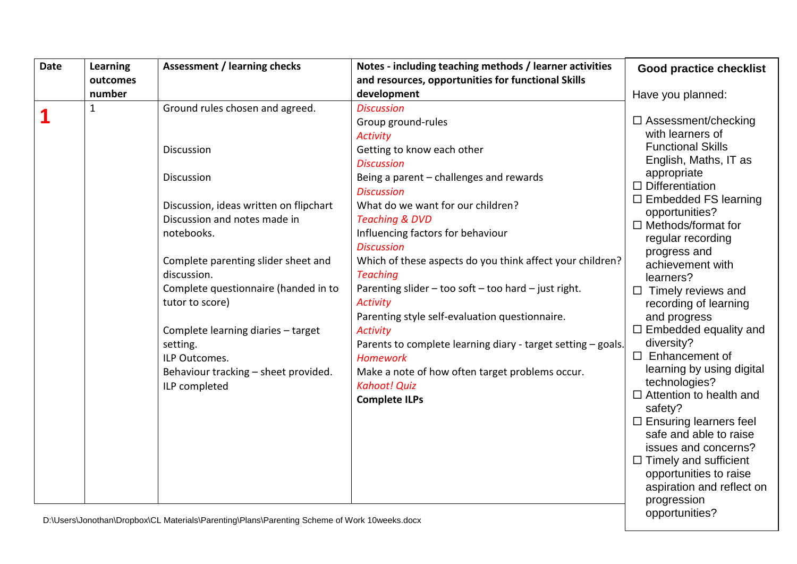| Date     | Learning     | <b>Assessment / learning checks</b>    | Notes - including teaching methods / learner activities      | <b>Good practice checklist</b>        |
|----------|--------------|----------------------------------------|--------------------------------------------------------------|---------------------------------------|
|          | outcomes     |                                        | and resources, opportunities for functional Skills           |                                       |
|          | number       |                                        | development                                                  | Have you planned:                     |
| <u>1</u> | $\mathbf{1}$ | Ground rules chosen and agreed.        | <b>Discussion</b>                                            |                                       |
|          |              |                                        | Group ground-rules                                           | □ Assessment/checking                 |
|          |              |                                        | <b>Activity</b>                                              | with learners of                      |
|          |              | Discussion                             | Getting to know each other                                   | <b>Functional Skills</b>              |
|          |              |                                        | <b>Discussion</b>                                            | English, Maths, IT as                 |
|          |              | Discussion                             | Being a parent - challenges and rewards                      | appropriate<br>$\Box$ Differentiation |
|          |              |                                        | <b>Discussion</b>                                            | $\Box$ Embedded FS learning           |
|          |              | Discussion, ideas written on flipchart | What do we want for our children?                            | opportunities?                        |
|          |              | Discussion and notes made in           | <b>Teaching &amp; DVD</b>                                    | $\Box$ Methods/format for             |
|          |              | notebooks.                             | Influencing factors for behaviour                            | regular recording                     |
|          |              |                                        | <b>Discussion</b>                                            | progress and                          |
|          |              | Complete parenting slider sheet and    | Which of these aspects do you think affect your children?    | achievement with                      |
|          |              | discussion.                            | <b>Teaching</b>                                              | learners?                             |
|          |              | Complete questionnaire (handed in to   | Parenting slider - too soft - too hard - just right.         | $\Box$ Timely reviews and             |
|          |              | tutor to score)                        | <b>Activity</b>                                              | recording of learning                 |
|          |              |                                        | Parenting style self-evaluation questionnaire.               | and progress                          |
|          |              | Complete learning diaries - target     | <b>Activity</b>                                              | $\Box$ Embedded equality and          |
|          |              | setting.                               | Parents to complete learning diary - target setting - goals. | diversity?                            |
|          |              | ILP Outcomes.                          | <b>Homework</b>                                              | $\Box$ Enhancement of                 |
|          |              | Behaviour tracking - sheet provided.   | Make a note of how often target problems occur.              | learning by using digital             |
|          |              | ILP completed                          | <b>Kahoot! Quiz</b>                                          | technologies?                         |
|          |              |                                        | <b>Complete ILPs</b>                                         | $\Box$ Attention to health and        |
|          |              |                                        |                                                              | safety?                               |
|          |              |                                        |                                                              | $\Box$ Ensuring learners feel         |
|          |              |                                        |                                                              | safe and able to raise                |
|          |              |                                        |                                                              | issues and concerns?                  |
|          |              |                                        |                                                              | $\Box$ Timely and sufficient          |
|          |              |                                        |                                                              | opportunities to raise                |
|          |              |                                        |                                                              | aspiration and reflect on             |
|          |              |                                        |                                                              | progression                           |
|          |              |                                        |                                                              | opportunities?                        |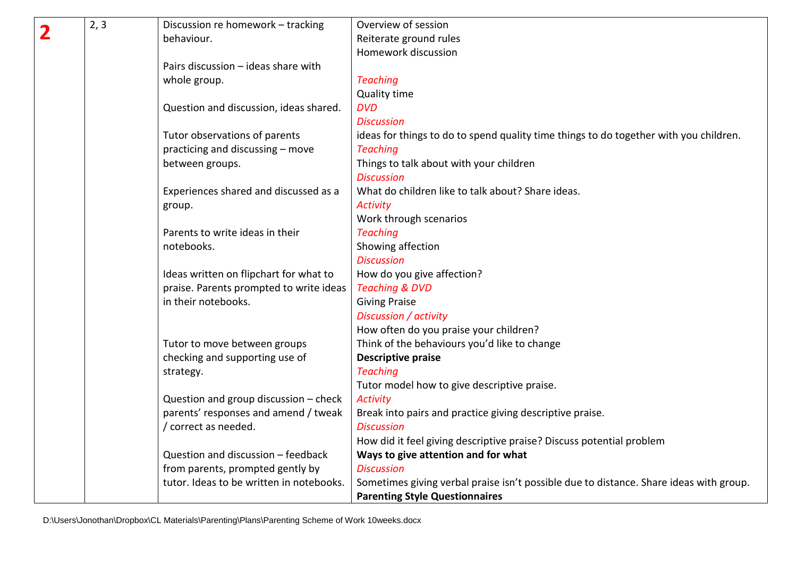| 2, 3 | Discussion re homework - tracking        | Overview of session                                                                    |
|------|------------------------------------------|----------------------------------------------------------------------------------------|
|      | behaviour.                               | Reiterate ground rules                                                                 |
|      |                                          | Homework discussion                                                                    |
|      | Pairs discussion - ideas share with      |                                                                                        |
|      | whole group.                             | <b>Teaching</b>                                                                        |
|      |                                          | <b>Quality time</b>                                                                    |
|      | Question and discussion, ideas shared.   | <b>DVD</b>                                                                             |
|      |                                          | <b>Discussion</b>                                                                      |
|      | Tutor observations of parents            | ideas for things to do to spend quality time things to do together with you children.  |
|      | practicing and discussing - move         | <b>Teaching</b>                                                                        |
|      | between groups.                          | Things to talk about with your children                                                |
|      |                                          | <b>Discussion</b>                                                                      |
|      | Experiences shared and discussed as a    | What do children like to talk about? Share ideas.                                      |
|      | group.                                   | <b>Activity</b>                                                                        |
|      |                                          | Work through scenarios                                                                 |
|      | Parents to write ideas in their          | <b>Teaching</b>                                                                        |
|      | notebooks.                               | Showing affection                                                                      |
|      |                                          | <b>Discussion</b>                                                                      |
|      | Ideas written on flipchart for what to   | How do you give affection?                                                             |
|      | praise. Parents prompted to write ideas  | <b>Teaching &amp; DVD</b>                                                              |
|      | in their notebooks.                      | <b>Giving Praise</b>                                                                   |
|      |                                          | Discussion / activity                                                                  |
|      |                                          | How often do you praise your children?                                                 |
|      | Tutor to move between groups             | Think of the behaviours you'd like to change                                           |
|      | checking and supporting use of           | <b>Descriptive praise</b>                                                              |
|      | strategy.                                | <b>Teaching</b>                                                                        |
|      |                                          | Tutor model how to give descriptive praise.                                            |
|      | Question and group discussion - check    | <b>Activity</b>                                                                        |
|      | parents' responses and amend / tweak     | Break into pairs and practice giving descriptive praise.                               |
|      | / correct as needed.                     | <b>Discussion</b>                                                                      |
|      |                                          | How did it feel giving descriptive praise? Discuss potential problem                   |
|      | Question and discussion - feedback       | Ways to give attention and for what                                                    |
|      | from parents, prompted gently by         | <b>Discussion</b>                                                                      |
|      | tutor. Ideas to be written in notebooks. | Sometimes giving verbal praise isn't possible due to distance. Share ideas with group. |
|      |                                          | <b>Parenting Style Questionnaires</b>                                                  |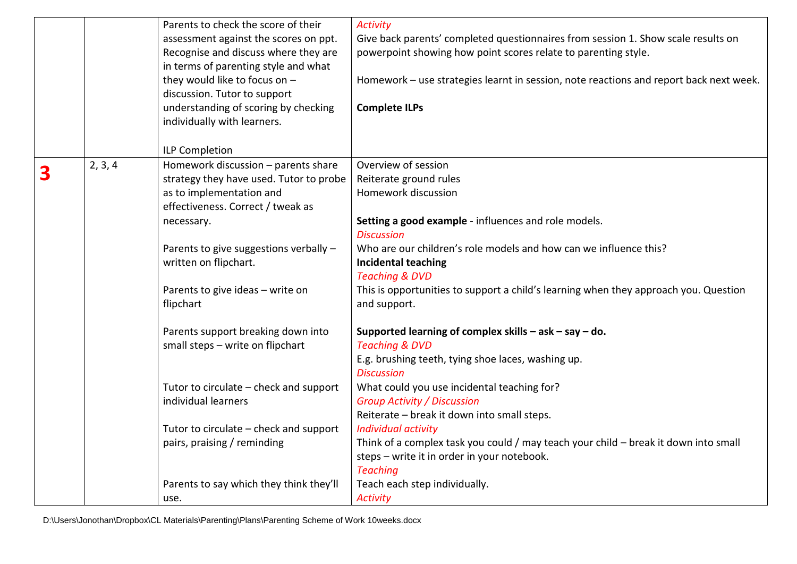|   |         | Parents to check the score of their     | <b>Activity</b>                                                                        |
|---|---------|-----------------------------------------|----------------------------------------------------------------------------------------|
|   |         | assessment against the scores on ppt.   | Give back parents' completed questionnaires from session 1. Show scale results on      |
|   |         | Recognise and discuss where they are    | powerpoint showing how point scores relate to parenting style.                         |
|   |         | in terms of parenting style and what    |                                                                                        |
|   |         | they would like to focus on -           | Homework - use strategies learnt in session, note reactions and report back next week. |
|   |         | discussion. Tutor to support            |                                                                                        |
|   |         | understanding of scoring by checking    | <b>Complete ILPs</b>                                                                   |
|   |         | individually with learners.             |                                                                                        |
|   |         |                                         |                                                                                        |
|   |         | <b>ILP Completion</b>                   |                                                                                        |
|   | 2, 3, 4 | Homework discussion - parents share     | Overview of session                                                                    |
| 3 |         | strategy they have used. Tutor to probe | Reiterate ground rules                                                                 |
|   |         | as to implementation and                | Homework discussion                                                                    |
|   |         | effectiveness. Correct / tweak as       |                                                                                        |
|   |         | necessary.                              | Setting a good example - influences and role models.                                   |
|   |         |                                         | <b>Discussion</b>                                                                      |
|   |         | Parents to give suggestions verbally -  | Who are our children's role models and how can we influence this?                      |
|   |         | written on flipchart.                   | <b>Incidental teaching</b>                                                             |
|   |         |                                         | <b>Teaching &amp; DVD</b>                                                              |
|   |         | Parents to give ideas - write on        | This is opportunities to support a child's learning when they approach you. Question   |
|   |         | flipchart                               | and support.                                                                           |
|   |         | Parents support breaking down into      | Supported learning of complex skills $-$ ask $-$ say $-$ do.                           |
|   |         | small steps - write on flipchart        | <b>Teaching &amp; DVD</b>                                                              |
|   |         |                                         | E.g. brushing teeth, tying shoe laces, washing up.                                     |
|   |         |                                         | <b>Discussion</b>                                                                      |
|   |         | Tutor to circulate – check and support  | What could you use incidental teaching for?                                            |
|   |         | individual learners                     | <b>Group Activity / Discussion</b>                                                     |
|   |         |                                         | Reiterate - break it down into small steps.                                            |
|   |         | Tutor to circulate – check and support  | <b>Individual activity</b>                                                             |
|   |         | pairs, praising / reminding             | Think of a complex task you could / may teach your child - break it down into small    |
|   |         |                                         | steps - write it in order in your notebook.                                            |
|   |         |                                         | <b>Teaching</b>                                                                        |
|   |         | Parents to say which they think they'll | Teach each step individually.                                                          |
|   |         | use.                                    | <b>Activity</b>                                                                        |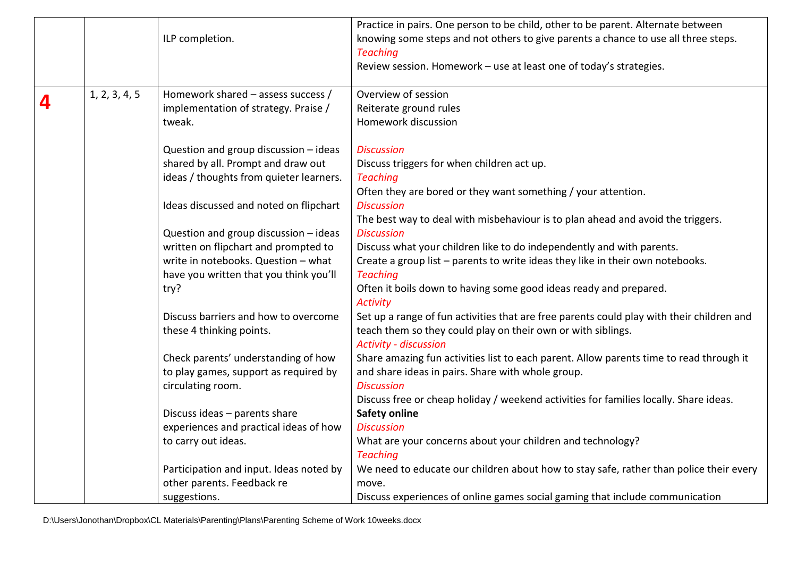|   |               | ILP completion.                                                                                                                                                  | Practice in pairs. One person to be child, other to be parent. Alternate between<br>knowing some steps and not others to give parents a chance to use all three steps.<br><b>Teaching</b><br>Review session. Homework - use at least one of today's strategies. |
|---|---------------|------------------------------------------------------------------------------------------------------------------------------------------------------------------|-----------------------------------------------------------------------------------------------------------------------------------------------------------------------------------------------------------------------------------------------------------------|
|   | 1, 2, 3, 4, 5 | Homework shared - assess success /                                                                                                                               | Overview of session                                                                                                                                                                                                                                             |
| 4 |               | implementation of strategy. Praise /                                                                                                                             | Reiterate ground rules                                                                                                                                                                                                                                          |
|   |               | tweak.                                                                                                                                                           | Homework discussion                                                                                                                                                                                                                                             |
|   |               | Question and group discussion - ideas<br>shared by all. Prompt and draw out<br>ideas / thoughts from quieter learners.<br>Ideas discussed and noted on flipchart | <b>Discussion</b><br>Discuss triggers for when children act up.<br><b>Teaching</b><br>Often they are bored or they want something / your attention.<br><b>Discussion</b>                                                                                        |
|   |               |                                                                                                                                                                  | The best way to deal with misbehaviour is to plan ahead and avoid the triggers.                                                                                                                                                                                 |
|   |               | Question and group discussion - ideas                                                                                                                            | <b>Discussion</b>                                                                                                                                                                                                                                               |
|   |               | written on flipchart and prompted to                                                                                                                             | Discuss what your children like to do independently and with parents.                                                                                                                                                                                           |
|   |               | write in notebooks. Question - what                                                                                                                              | Create a group list - parents to write ideas they like in their own notebooks.                                                                                                                                                                                  |
|   |               | have you written that you think you'll                                                                                                                           | <b>Teaching</b>                                                                                                                                                                                                                                                 |
|   |               | try?                                                                                                                                                             | Often it boils down to having some good ideas ready and prepared.<br><b>Activity</b>                                                                                                                                                                            |
|   |               | Discuss barriers and how to overcome<br>these 4 thinking points.                                                                                                 | Set up a range of fun activities that are free parents could play with their children and<br>teach them so they could play on their own or with siblings.<br><b>Activity - discussion</b>                                                                       |
|   |               | Check parents' understanding of how                                                                                                                              | Share amazing fun activities list to each parent. Allow parents time to read through it                                                                                                                                                                         |
|   |               | to play games, support as required by                                                                                                                            | and share ideas in pairs. Share with whole group.                                                                                                                                                                                                               |
|   |               | circulating room.                                                                                                                                                | <b>Discussion</b>                                                                                                                                                                                                                                               |
|   |               |                                                                                                                                                                  | Discuss free or cheap holiday / weekend activities for families locally. Share ideas.                                                                                                                                                                           |
|   |               | Discuss ideas - parents share                                                                                                                                    | <b>Safety online</b>                                                                                                                                                                                                                                            |
|   |               | experiences and practical ideas of how                                                                                                                           | <b>Discussion</b>                                                                                                                                                                                                                                               |
|   |               | to carry out ideas.                                                                                                                                              | What are your concerns about your children and technology?                                                                                                                                                                                                      |
|   |               |                                                                                                                                                                  | <b>Teaching</b>                                                                                                                                                                                                                                                 |
|   |               | Participation and input. Ideas noted by                                                                                                                          | We need to educate our children about how to stay safe, rather than police their every                                                                                                                                                                          |
|   |               | other parents. Feedback re                                                                                                                                       | move.                                                                                                                                                                                                                                                           |
|   |               | suggestions.                                                                                                                                                     | Discuss experiences of online games social gaming that include communication                                                                                                                                                                                    |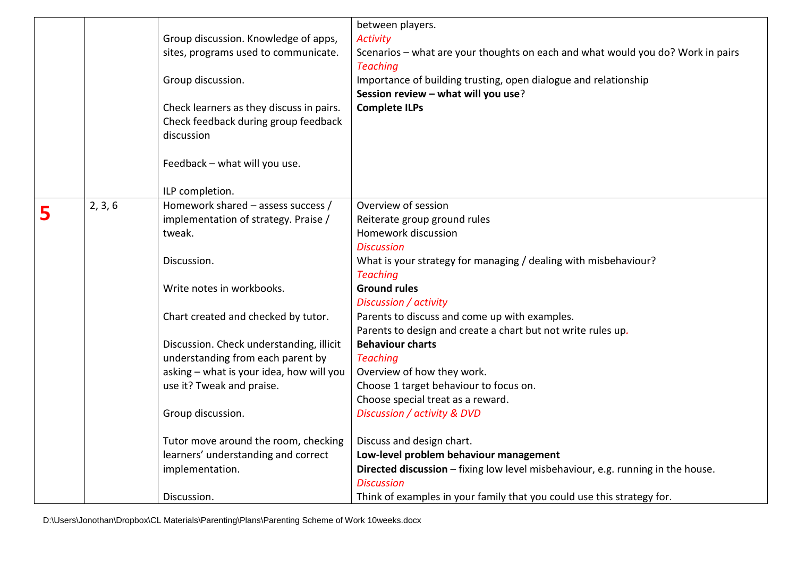|   |         |                                          | between players.                                                                |
|---|---------|------------------------------------------|---------------------------------------------------------------------------------|
|   |         | Group discussion. Knowledge of apps,     | <b>Activity</b>                                                                 |
|   |         | sites, programs used to communicate.     | Scenarios - what are your thoughts on each and what would you do? Work in pairs |
|   |         |                                          | <b>Teaching</b>                                                                 |
|   |         | Group discussion.                        | Importance of building trusting, open dialogue and relationship                 |
|   |         |                                          | Session review - what will you use?                                             |
|   |         | Check learners as they discuss in pairs. | <b>Complete ILPs</b>                                                            |
|   |         | Check feedback during group feedback     |                                                                                 |
|   |         | discussion                               |                                                                                 |
|   |         |                                          |                                                                                 |
|   |         | Feedback - what will you use.            |                                                                                 |
|   |         |                                          |                                                                                 |
|   |         | ILP completion.                          |                                                                                 |
| 5 | 2, 3, 6 | Homework shared - assess success /       | Overview of session                                                             |
|   |         | implementation of strategy. Praise /     | Reiterate group ground rules                                                    |
|   |         | tweak.                                   | Homework discussion                                                             |
|   |         |                                          | <b>Discussion</b>                                                               |
|   |         | Discussion.                              | What is your strategy for managing / dealing with misbehaviour?                 |
|   |         |                                          | <b>Teaching</b>                                                                 |
|   |         | Write notes in workbooks.                | <b>Ground rules</b>                                                             |
|   |         |                                          | Discussion / activity                                                           |
|   |         | Chart created and checked by tutor.      | Parents to discuss and come up with examples.                                   |
|   |         |                                          | Parents to design and create a chart but not write rules up.                    |
|   |         | Discussion. Check understanding, illicit | <b>Behaviour charts</b>                                                         |
|   |         | understanding from each parent by        | <b>Teaching</b>                                                                 |
|   |         | asking - what is your idea, how will you | Overview of how they work.                                                      |
|   |         | use it? Tweak and praise.                | Choose 1 target behaviour to focus on.                                          |
|   |         |                                          | Choose special treat as a reward.                                               |
|   |         | Group discussion.                        | Discussion / activity & DVD                                                     |
|   |         |                                          |                                                                                 |
|   |         | Tutor move around the room, checking     | Discuss and design chart.                                                       |
|   |         | learners' understanding and correct      | Low-level problem behaviour management                                          |
|   |         | implementation.                          | Directed discussion - fixing low level misbehaviour, e.g. running in the house. |
|   |         |                                          | <b>Discussion</b>                                                               |
|   |         | Discussion.                              | Think of examples in your family that you could use this strategy for.          |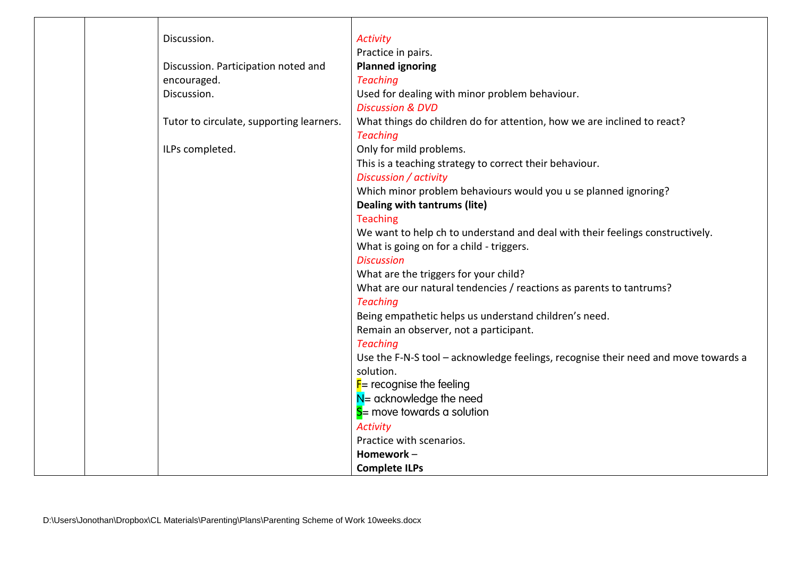| Discussion.                              | <b>Activity</b>                                                                    |
|------------------------------------------|------------------------------------------------------------------------------------|
|                                          | Practice in pairs.                                                                 |
| Discussion. Participation noted and      | <b>Planned ignoring</b>                                                            |
| encouraged.                              | <b>Teaching</b>                                                                    |
| Discussion.                              | Used for dealing with minor problem behaviour.                                     |
|                                          | <b>Discussion &amp; DVD</b>                                                        |
| Tutor to circulate, supporting learners. | What things do children do for attention, how we are inclined to react?            |
|                                          | <b>Teaching</b>                                                                    |
| ILPs completed.                          | Only for mild problems.                                                            |
|                                          | This is a teaching strategy to correct their behaviour.                            |
|                                          | Discussion / activity                                                              |
|                                          | Which minor problem behaviours would you u se planned ignoring?                    |
|                                          | Dealing with tantrums (lite)                                                       |
|                                          | <b>Teaching</b>                                                                    |
|                                          | We want to help ch to understand and deal with their feelings constructively.      |
|                                          | What is going on for a child - triggers.                                           |
|                                          | <b>Discussion</b>                                                                  |
|                                          | What are the triggers for your child?                                              |
|                                          | What are our natural tendencies / reactions as parents to tantrums?                |
|                                          | <b>Teaching</b>                                                                    |
|                                          | Being empathetic helps us understand children's need.                              |
|                                          | Remain an observer, not a participant.                                             |
|                                          | <b>Teaching</b>                                                                    |
|                                          | Use the F-N-S tool - acknowledge feelings, recognise their need and move towards a |
|                                          | solution.                                                                          |
|                                          | $F$ = recognise the feeling                                                        |
|                                          | $N =$ acknowledge the need                                                         |
|                                          | $S =$ move towards a solution                                                      |
|                                          | <b>Activity</b>                                                                    |
|                                          | Practice with scenarios.                                                           |
|                                          | Homework-                                                                          |
|                                          | <b>Complete ILPs</b>                                                               |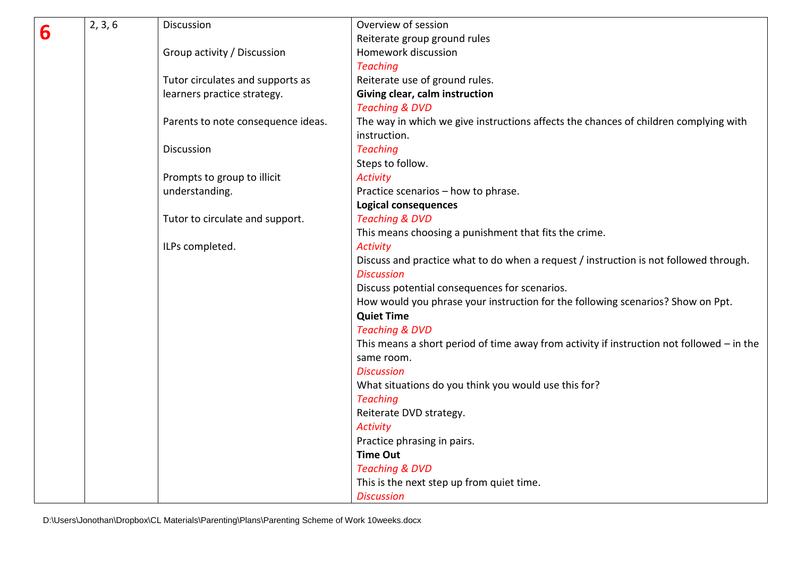|   | 2, 3, 6 | Discussion                         | Overview of session                                                                         |
|---|---------|------------------------------------|---------------------------------------------------------------------------------------------|
| 6 |         |                                    | Reiterate group ground rules                                                                |
|   |         | Group activity / Discussion        | Homework discussion                                                                         |
|   |         |                                    | <b>Teaching</b>                                                                             |
|   |         | Tutor circulates and supports as   | Reiterate use of ground rules.                                                              |
|   |         | learners practice strategy.        | Giving clear, calm instruction                                                              |
|   |         |                                    | <b>Teaching &amp; DVD</b>                                                                   |
|   |         | Parents to note consequence ideas. | The way in which we give instructions affects the chances of children complying with        |
|   |         |                                    | instruction.                                                                                |
|   |         | <b>Discussion</b>                  | <b>Teaching</b>                                                                             |
|   |         |                                    | Steps to follow.                                                                            |
|   |         | Prompts to group to illicit        | <b>Activity</b>                                                                             |
|   |         | understanding.                     | Practice scenarios - how to phrase.                                                         |
|   |         |                                    | <b>Logical consequences</b>                                                                 |
|   |         | Tutor to circulate and support.    | <b>Teaching &amp; DVD</b>                                                                   |
|   |         |                                    | This means choosing a punishment that fits the crime.                                       |
|   |         | ILPs completed.                    | <b>Activity</b>                                                                             |
|   |         |                                    | Discuss and practice what to do when a request / instruction is not followed through.       |
|   |         |                                    | <b>Discussion</b>                                                                           |
|   |         |                                    | Discuss potential consequences for scenarios.                                               |
|   |         |                                    | How would you phrase your instruction for the following scenarios? Show on Ppt.             |
|   |         |                                    | <b>Quiet Time</b>                                                                           |
|   |         |                                    | <b>Teaching &amp; DVD</b>                                                                   |
|   |         |                                    | This means a short period of time away from activity if instruction not followed $-$ in the |
|   |         |                                    | same room.                                                                                  |
|   |         |                                    | <b>Discussion</b>                                                                           |
|   |         |                                    | What situations do you think you would use this for?                                        |
|   |         |                                    | <b>Teaching</b>                                                                             |
|   |         |                                    | Reiterate DVD strategy.                                                                     |
|   |         |                                    | <b>Activity</b>                                                                             |
|   |         |                                    | Practice phrasing in pairs.                                                                 |
|   |         |                                    | <b>Time Out</b>                                                                             |
|   |         |                                    | <b>Teaching &amp; DVD</b>                                                                   |
|   |         |                                    | This is the next step up from quiet time.                                                   |
|   |         |                                    | <b>Discussion</b>                                                                           |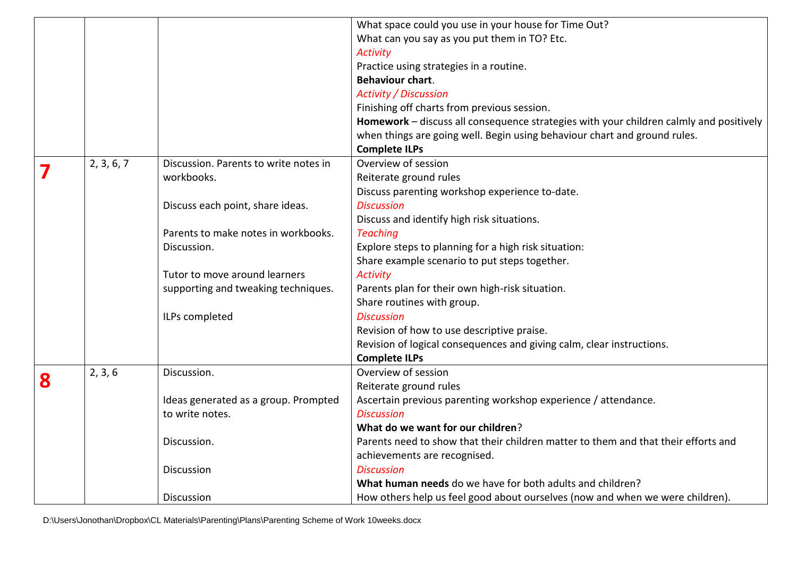|   |            |                                       | What space could you use in your house for Time Out?                                   |
|---|------------|---------------------------------------|----------------------------------------------------------------------------------------|
|   |            |                                       | What can you say as you put them in TO? Etc.                                           |
|   |            |                                       | <b>Activity</b>                                                                        |
|   |            |                                       | Practice using strategies in a routine.                                                |
|   |            |                                       | <b>Behaviour chart.</b>                                                                |
|   |            |                                       | <b>Activity / Discussion</b>                                                           |
|   |            |                                       | Finishing off charts from previous session.                                            |
|   |            |                                       | Homework - discuss all consequence strategies with your children calmly and positively |
|   |            |                                       | when things are going well. Begin using behaviour chart and ground rules.              |
|   |            |                                       | <b>Complete ILPs</b>                                                                   |
| 7 | 2, 3, 6, 7 | Discussion. Parents to write notes in | Overview of session                                                                    |
|   |            | workbooks.                            | Reiterate ground rules                                                                 |
|   |            |                                       | Discuss parenting workshop experience to-date.                                         |
|   |            | Discuss each point, share ideas.      | <b>Discussion</b>                                                                      |
|   |            |                                       | Discuss and identify high risk situations.                                             |
|   |            | Parents to make notes in workbooks.   | <b>Teaching</b>                                                                        |
|   |            | Discussion.                           | Explore steps to planning for a high risk situation:                                   |
|   |            |                                       | Share example scenario to put steps together.                                          |
|   |            | Tutor to move around learners         | <b>Activity</b>                                                                        |
|   |            | supporting and tweaking techniques.   | Parents plan for their own high-risk situation.                                        |
|   |            |                                       | Share routines with group.                                                             |
|   |            | ILPs completed                        | <b>Discussion</b>                                                                      |
|   |            |                                       | Revision of how to use descriptive praise.                                             |
|   |            |                                       | Revision of logical consequences and giving calm, clear instructions.                  |
|   |            |                                       | <b>Complete ILPs</b>                                                                   |
| 8 | 2, 3, 6    | Discussion.                           | Overview of session                                                                    |
|   |            |                                       | Reiterate ground rules                                                                 |
|   |            | Ideas generated as a group. Prompted  | Ascertain previous parenting workshop experience / attendance.                         |
|   |            | to write notes.                       | <b>Discussion</b>                                                                      |
|   |            |                                       | What do we want for our children?                                                      |
|   |            | Discussion.                           | Parents need to show that their children matter to them and that their efforts and     |
|   |            |                                       | achievements are recognised.                                                           |
|   |            | <b>Discussion</b>                     | <b>Discussion</b>                                                                      |
|   |            |                                       | What human needs do we have for both adults and children?                              |
|   |            | Discussion                            | How others help us feel good about ourselves (now and when we were children).          |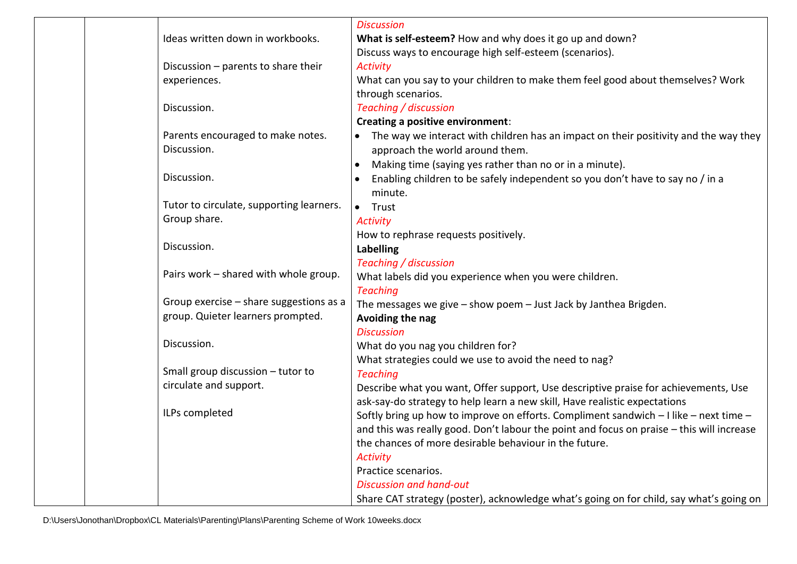|                                          | <b>Discussion</b>                                                                                 |
|------------------------------------------|---------------------------------------------------------------------------------------------------|
| Ideas written down in workbooks.         | What is self-esteem? How and why does it go up and down?                                          |
|                                          | Discuss ways to encourage high self-esteem (scenarios).                                           |
| Discussion - parents to share their      | <b>Activity</b>                                                                                   |
| experiences.                             | What can you say to your children to make them feel good about themselves? Work                   |
|                                          | through scenarios.                                                                                |
| Discussion.                              | Teaching / discussion                                                                             |
|                                          | <b>Creating a positive environment:</b>                                                           |
| Parents encouraged to make notes.        | The way we interact with children has an impact on their positivity and the way they<br>$\bullet$ |
| Discussion.                              | approach the world around them.                                                                   |
|                                          | Making time (saying yes rather than no or in a minute).<br>$\bullet$                              |
| Discussion.                              | Enabling children to be safely independent so you don't have to say no / in a                     |
|                                          | minute.                                                                                           |
| Tutor to circulate, supporting learners. | • Trust                                                                                           |
| Group share.                             | <b>Activity</b>                                                                                   |
|                                          | How to rephrase requests positively.                                                              |
| Discussion.                              | Labelling                                                                                         |
|                                          | Teaching / discussion                                                                             |
| Pairs work - shared with whole group.    | What labels did you experience when you were children.                                            |
|                                          | <b>Teaching</b>                                                                                   |
| Group exercise - share suggestions as a  | The messages we give - show poem - Just Jack by Janthea Brigden.                                  |
| group. Quieter learners prompted.        | Avoiding the nag                                                                                  |
|                                          | <b>Discussion</b>                                                                                 |
| Discussion.                              | What do you nag you children for?                                                                 |
|                                          | What strategies could we use to avoid the need to nag?                                            |
| Small group discussion - tutor to        | <b>Teaching</b>                                                                                   |
| circulate and support.                   | Describe what you want, Offer support, Use descriptive praise for achievements, Use               |
|                                          | ask-say-do strategy to help learn a new skill, Have realistic expectations                        |
| ILPs completed                           | Softly bring up how to improve on efforts. Compliment sandwich - I like - next time -             |
|                                          | and this was really good. Don't labour the point and focus on praise - this will increase         |
|                                          | the chances of more desirable behaviour in the future.                                            |
|                                          | <b>Activity</b>                                                                                   |
|                                          | Practice scenarios.                                                                               |
|                                          | <b>Discussion and hand-out</b>                                                                    |
|                                          | Share CAT strategy (poster), acknowledge what's going on for child, say what's going on           |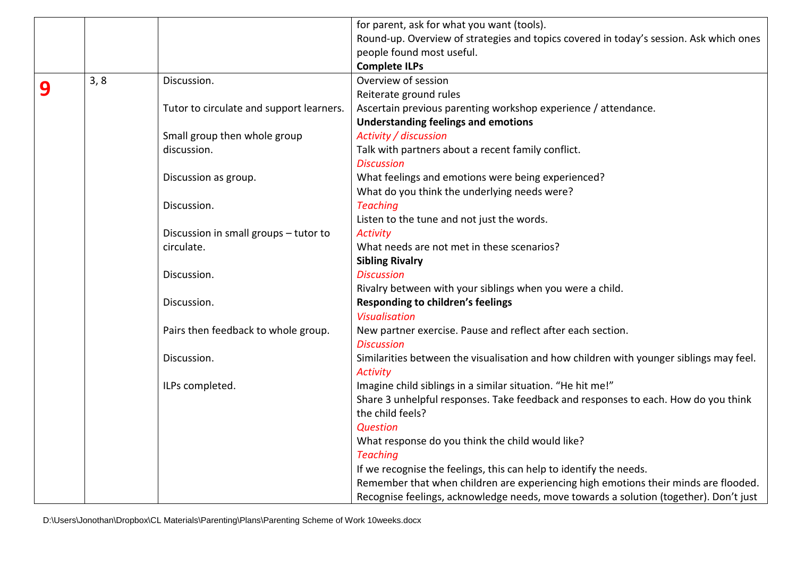|   |      |                                          | for parent, ask for what you want (tools).                                              |
|---|------|------------------------------------------|-----------------------------------------------------------------------------------------|
|   |      |                                          | Round-up. Overview of strategies and topics covered in today's session. Ask which ones  |
|   |      |                                          | people found most useful.                                                               |
|   |      |                                          | <b>Complete ILPs</b>                                                                    |
|   | 3, 8 | Discussion.                              | Overview of session                                                                     |
| 9 |      |                                          | Reiterate ground rules                                                                  |
|   |      | Tutor to circulate and support learners. | Ascertain previous parenting workshop experience / attendance.                          |
|   |      |                                          | <b>Understanding feelings and emotions</b>                                              |
|   |      | Small group then whole group             | Activity / discussion                                                                   |
|   |      | discussion.                              | Talk with partners about a recent family conflict.                                      |
|   |      |                                          | <b>Discussion</b>                                                                       |
|   |      | Discussion as group.                     | What feelings and emotions were being experienced?                                      |
|   |      |                                          | What do you think the underlying needs were?                                            |
|   |      | Discussion.                              | <b>Teaching</b>                                                                         |
|   |      |                                          | Listen to the tune and not just the words.                                              |
|   |      | Discussion in small groups - tutor to    | <b>Activity</b>                                                                         |
|   |      | circulate.                               | What needs are not met in these scenarios?                                              |
|   |      |                                          | <b>Sibling Rivalry</b>                                                                  |
|   |      | Discussion.                              | <b>Discussion</b>                                                                       |
|   |      |                                          | Rivalry between with your siblings when you were a child.                               |
|   |      | Discussion.                              | Responding to children's feelings                                                       |
|   |      |                                          | <b>Visualisation</b>                                                                    |
|   |      | Pairs then feedback to whole group.      | New partner exercise. Pause and reflect after each section.                             |
|   |      |                                          | <b>Discussion</b>                                                                       |
|   |      | Discussion.                              | Similarities between the visualisation and how children with younger siblings may feel. |
|   |      |                                          | <b>Activity</b>                                                                         |
|   |      | ILPs completed.                          | Imagine child siblings in a similar situation. "He hit me!"                             |
|   |      |                                          | Share 3 unhelpful responses. Take feedback and responses to each. How do you think      |
|   |      |                                          | the child feels?                                                                        |
|   |      |                                          | <b>Question</b>                                                                         |
|   |      |                                          | What response do you think the child would like?                                        |
|   |      |                                          | <b>Teaching</b>                                                                         |
|   |      |                                          | If we recognise the feelings, this can help to identify the needs.                      |
|   |      |                                          | Remember that when children are experiencing high emotions their minds are flooded.     |
|   |      |                                          | Recognise feelings, acknowledge needs, move towards a solution (together). Don't just   |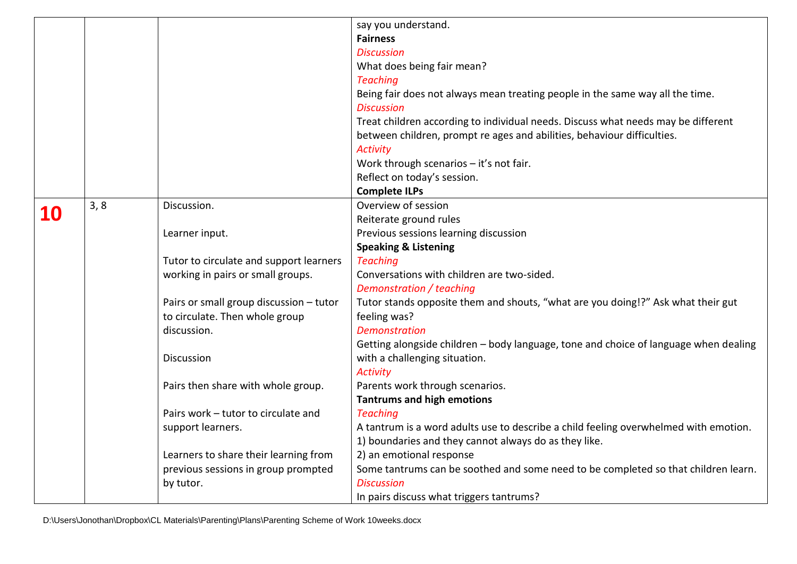|           |      |                                         | say you understand.                                                                  |
|-----------|------|-----------------------------------------|--------------------------------------------------------------------------------------|
|           |      |                                         | <b>Fairness</b>                                                                      |
|           |      |                                         | <b>Discussion</b>                                                                    |
|           |      |                                         | What does being fair mean?                                                           |
|           |      |                                         | <b>Teaching</b>                                                                      |
|           |      |                                         | Being fair does not always mean treating people in the same way all the time.        |
|           |      |                                         | <b>Discussion</b>                                                                    |
|           |      |                                         | Treat children according to individual needs. Discuss what needs may be different    |
|           |      |                                         | between children, prompt re ages and abilities, behaviour difficulties.              |
|           |      |                                         | <b>Activity</b>                                                                      |
|           |      |                                         | Work through scenarios - it's not fair.                                              |
|           |      |                                         | Reflect on today's session.                                                          |
|           |      |                                         | <b>Complete ILPs</b>                                                                 |
| <b>10</b> | 3, 8 | Discussion.                             | Overview of session                                                                  |
|           |      |                                         | Reiterate ground rules                                                               |
|           |      | Learner input.                          | Previous sessions learning discussion                                                |
|           |      |                                         | <b>Speaking &amp; Listening</b>                                                      |
|           |      | Tutor to circulate and support learners | <b>Teaching</b>                                                                      |
|           |      | working in pairs or small groups.       | Conversations with children are two-sided.                                           |
|           |      |                                         | Demonstration / teaching                                                             |
|           |      | Pairs or small group discussion - tutor | Tutor stands opposite them and shouts, "what are you doing!?" Ask what their gut     |
|           |      | to circulate. Then whole group          | feeling was?                                                                         |
|           |      | discussion.                             | <b>Demonstration</b>                                                                 |
|           |      |                                         | Getting alongside children - body language, tone and choice of language when dealing |
|           |      | Discussion                              | with a challenging situation.                                                        |
|           |      |                                         | <b>Activity</b>                                                                      |
|           |      | Pairs then share with whole group.      | Parents work through scenarios.                                                      |
|           |      |                                         | <b>Tantrums and high emotions</b>                                                    |
|           |      | Pairs work - tutor to circulate and     | <b>Teaching</b>                                                                      |
|           |      | support learners.                       | A tantrum is a word adults use to describe a child feeling overwhelmed with emotion. |
|           |      |                                         | 1) boundaries and they cannot always do as they like.                                |
|           |      | Learners to share their learning from   | 2) an emotional response                                                             |
|           |      | previous sessions in group prompted     | Some tantrums can be soothed and some need to be completed so that children learn.   |
|           |      | by tutor.                               | <b>Discussion</b>                                                                    |
|           |      |                                         | In pairs discuss what triggers tantrums?                                             |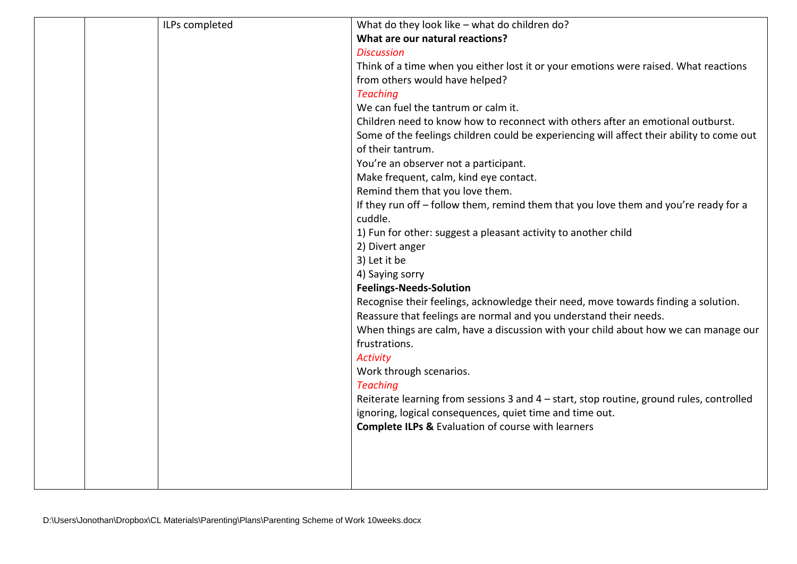| ILPs completed | What do they look like - what do children do?                                             |
|----------------|-------------------------------------------------------------------------------------------|
|                | What are our natural reactions?                                                           |
|                | <b>Discussion</b>                                                                         |
|                | Think of a time when you either lost it or your emotions were raised. What reactions      |
|                | from others would have helped?                                                            |
|                | <b>Teaching</b>                                                                           |
|                | We can fuel the tantrum or calm it.                                                       |
|                | Children need to know how to reconnect with others after an emotional outburst.           |
|                | Some of the feelings children could be experiencing will affect their ability to come out |
|                | of their tantrum.                                                                         |
|                | You're an observer not a participant.                                                     |
|                | Make frequent, calm, kind eye contact.                                                    |
|                | Remind them that you love them.                                                           |
|                | If they run off - follow them, remind them that you love them and you're ready for a      |
|                | cuddle.                                                                                   |
|                | 1) Fun for other: suggest a pleasant activity to another child                            |
|                | 2) Divert anger                                                                           |
|                | 3) Let it be                                                                              |
|                | 4) Saying sorry                                                                           |
|                | <b>Feelings-Needs-Solution</b>                                                            |
|                | Recognise their feelings, acknowledge their need, move towards finding a solution.        |
|                | Reassure that feelings are normal and you understand their needs.                         |
|                | When things are calm, have a discussion with your child about how we can manage our       |
|                | frustrations.                                                                             |
|                | <b>Activity</b>                                                                           |
|                | Work through scenarios.                                                                   |
|                | <b>Teaching</b>                                                                           |
|                | Reiterate learning from sessions 3 and 4 - start, stop routine, ground rules, controlled  |
|                | ignoring, logical consequences, quiet time and time out.                                  |
|                | <b>Complete ILPs &amp; Evaluation of course with learners</b>                             |
|                |                                                                                           |
|                |                                                                                           |
|                |                                                                                           |
|                |                                                                                           |